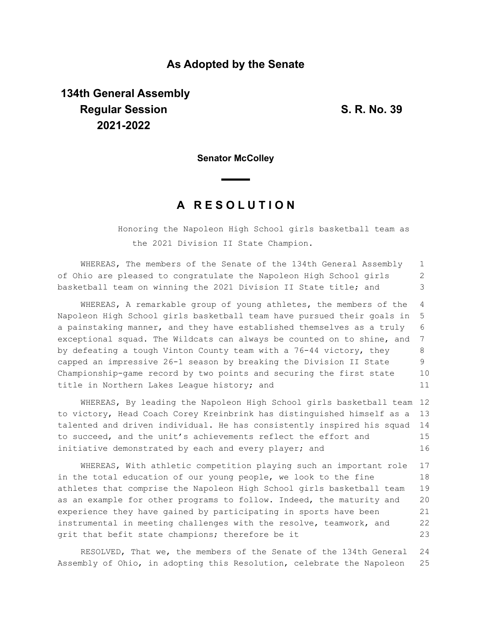## **As Adopted by the Senate**

## **134th General Assembly Regular Session S. R. No. 39 2021-2022**

**Senator McColley**

## **A R E S O L U T I O N**

Honoring the Napoleon High School girls basketball team as the 2021 Division II State Champion.

WHEREAS, The members of the Senate of the 134th General Assembly of Ohio are pleased to congratulate the Napoleon High School girls basketball team on winning the 2021 Division II State title; and 1 2 3

WHEREAS, A remarkable group of young athletes, the members of the Napoleon High School girls basketball team have pursued their goals in a painstaking manner, and they have established themselves as a truly exceptional squad. The Wildcats can always be counted on to shine, and by defeating a tough Vinton County team with a 76-44 victory, they capped an impressive 26-1 season by breaking the Division II State Championship-game record by two points and securing the first state title in Northern Lakes League history; and 4 5 6 7 8 9 10 11

WHEREAS, By leading the Napoleon High School girls basketball team 12 to victory, Head Coach Corey Kreinbrink has distinguished himself as a talented and driven individual. He has consistently inspired his squad to succeed, and the unit's achievements reflect the effort and initiative demonstrated by each and every player; and 13 14 15 16

WHEREAS, With athletic competition playing such an important role in the total education of our young people, we look to the fine athletes that comprise the Napoleon High School girls basketball team as an example for other programs to follow. Indeed, the maturity and experience they have gained by participating in sports have been instrumental in meeting challenges with the resolve, teamwork, and grit that befit state champions; therefore be it 17 18 19 20 21 22 23

RESOLVED, That we, the members of the Senate of the 134th General Assembly of Ohio, in adopting this Resolution, celebrate the Napoleon 24 25